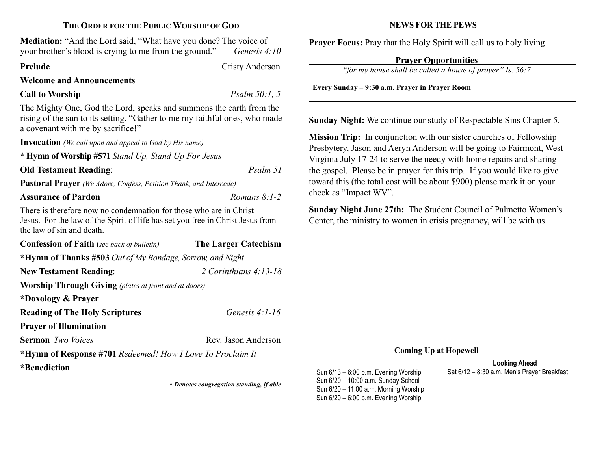### THE ORDER FOR THE PUBLIC WORSHIP OF GOD

Mediation: "And the Lord said, "What have you done? The voice of your brother's blood is crying to me from the ground." Genesis  $4:10$ 

Prelude Cristy Anderson

Welcome and Announcements

# Call to Worship Psalm 50:1, 5

The Mighty One, God the Lord, speaks and summons the earth from the rising of the sun to its setting. "Gather to me my faithful ones, who made a covenant with me by sacrifice!"

Invocation (We call upon and appeal to God by His name)

\* Hymn of Worship #571 Stand Up, Stand Up For Jesus

Old Testament Reading: Psalm 51

Pastoral Prayer (We Adore, Confess, Petition Thank, and Intercede)

## Assurance of Pardon Romans 8:1-2

There is therefore now no condemnation for those who are in Christ Jesus. For the law of the Spirit of life has set you free in Christ Jesus from the law of sin and death.

| <b>Confession of Faith</b> (see back of bulletin)            | <b>The Larger Catechism</b> |  |  |  |
|--------------------------------------------------------------|-----------------------------|--|--|--|
| *Hymn of Thanks #503 Out of My Bondage, Sorrow, and Night    |                             |  |  |  |
| <b>New Testament Reading:</b>                                | 2 Corinthians $4:13-18$     |  |  |  |
| <b>Worship Through Giving</b> (plates at front and at doors) |                             |  |  |  |
| *Doxology & Prayer                                           |                             |  |  |  |
| <b>Reading of The Holy Scriptures</b>                        | Genesis $4:1-16$            |  |  |  |
| <b>Prayer of Illumination</b>                                |                             |  |  |  |
| <b>Sermon</b> <i>Two Voices</i>                              | Rev. Jason Anderson         |  |  |  |
| *Hymn of Response #701 Redeemed! How I Love To Proclaim It   |                             |  |  |  |
| *Benediction                                                 |                             |  |  |  |

\* Denotes congregation standing, if able

### NEWS FOR THE PEWS

Prayer Focus: Pray that the Holy Spirit will call us to holy living.

# Prayer Opportunities

"for my house shall be called a house of prayer" Is. 56:7

Every Sunday – 9:30 a.m. Prayer in Prayer Room

Sunday Night: We continue our study of Respectable Sins Chapter 5.

Mission Trip: In conjunction with our sister churches of Fellowship Presbytery, Jason and Aeryn Anderson will be going to Fairmont, West Virginia July 17-24 to serve the needy with home repairs and sharing the gospel. Please be in prayer for this trip. If you would like to give toward this (the total cost will be about \$900) please mark it on your check as "Impact WV".

Sunday Night June 27th: The Student Council of Palmetto Women's Center, the ministry to women in crisis pregnancy, will be with us.

### Coming Up at Hopewell

Looking Ahead Sun 6/13 – 6:00 p.m. Evening Worship Sat 6/12 – 8:30 a.m. Men's Prayer Breakfast

Sun 6/20 – 10:00 a.m. Sunday School Sun 6/20 – 11:00 a.m. Morning Worship Sun 6/20 – 6:00 p.m. Evening Worship